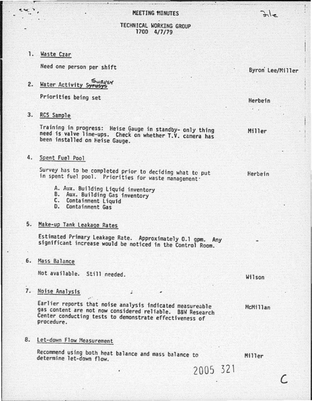### **MEETING MINUTES**

### TECHNICAL WORKING GROUP 1700 4/7/79

1. Waste Czar

Need one person per shift

2. Water Activity Surveys

Priorities being set

3. RCS Sample

Training in progress: Heise Gauge in standby- only thing need is valve line-ups. Check on whether T.V. camera has been installed on Heise Gauge.

4. Spent Fuel Pool

Survey has to be completed prior to deciding what to put in spent fuel pool. Priorities for waste management ·

- A. Aux. Building Liquid inventory<br>B. Aux. Building Gas inventory<br>C. Containment Liquid<br>D. Containment Gas
- 
- 
- 

# S. Hake-up Tank leakage Rates

Estimated Primary Leakage Rate. Approximately 0.1 gpm. Any significant increase would be noticed in the Control Room.

6. Mass Balance

Not available. Still needed.

.-

7. Noise Analysis ;

Earlier reports that noise analysis indicated measureable gas content are not now considered reliable. B&W Research Center conducting tests to demonstrate effectiveness of procedure.

8. Let-down Flow Measurement

Recommend using both heat balance and mass balance to determine let-down flow. Miller

2005 32l

Miller

Herbein

Herbein

Wilson

McMillan

c

Byron Lee/Miller

 $2.1 -$ 

·